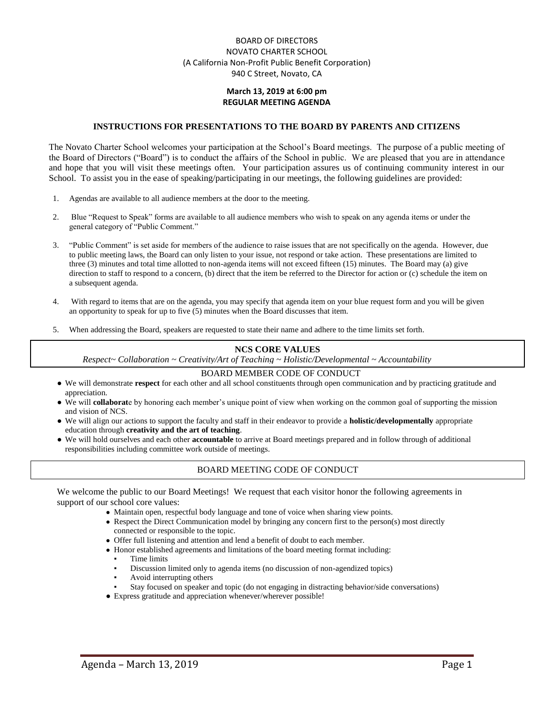## BOARD OF DIRECTORS NOVATO CHARTER SCHOOL (A California Non-Profit Public Benefit Corporation) 940 C Street, Novato, CA

### **March 13, 2019 at 6:00 pm REGULAR MEETING AGENDA**

#### **INSTRUCTIONS FOR PRESENTATIONS TO THE BOARD BY PARENTS AND CITIZENS**

The Novato Charter School welcomes your participation at the School's Board meetings. The purpose of a public meeting of the Board of Directors ("Board") is to conduct the affairs of the School in public. We are pleased that you are in attendance and hope that you will visit these meetings often. Your participation assures us of continuing community interest in our School. To assist you in the ease of speaking/participating in our meetings, the following guidelines are provided:

- 1. Agendas are available to all audience members at the door to the meeting.
- 2. Blue "Request to Speak" forms are available to all audience members who wish to speak on any agenda items or under the general category of "Public Comment."
- 3. "Public Comment" is set aside for members of the audience to raise issues that are not specifically on the agenda. However, due to public meeting laws, the Board can only listen to your issue, not respond or take action. These presentations are limited to three (3) minutes and total time allotted to non-agenda items will not exceed fifteen (15) minutes. The Board may (a) give direction to staff to respond to a concern, (b) direct that the item be referred to the Director for action or (c) schedule the item on a subsequent agenda.
- 4. With regard to items that are on the agenda, you may specify that agenda item on your blue request form and you will be given an opportunity to speak for up to five (5) minutes when the Board discusses that item.
- 5. When addressing the Board, speakers are requested to state their name and adhere to the time limits set forth.

#### **NCS CORE VALUES**

*Respect~ Collaboration ~ Creativity/Art of Teaching ~ Holistic/Developmental ~ Accountability*

#### BOARD MEMBER CODE OF CONDUCT

- We will demonstrate **respect** for each other and all school constituents through open communication and by practicing gratitude and appreciation.
- We will **collaborat**e by honoring each member's unique point of view when working on the common goal of supporting the mission and vision of NCS.
- We will align our actions to support the faculty and staff in their endeavor to provide a **holistic/developmentally** appropriate education through **creativity and the art of teaching**.
- We will hold ourselves and each other **accountable** to arrive at Board meetings prepared and in follow through of additional responsibilities including committee work outside of meetings.

### BOARD MEETING CODE OF CONDUCT

We welcome the public to our Board Meetings! We request that each visitor honor the following agreements in support of our school core values:

- Maintain open, respectful body language and tone of voice when sharing view points.
- Respect the Direct Communication model by bringing any concern first to the person(s) most directly connected or responsible to the topic.
- Offer full listening and attention and lend a benefit of doubt to each member.
- Honor established agreements and limitations of the board meeting format including:
	- Time limits
	- Discussion limited only to agenda items (no discussion of non-agendized topics)
	- Avoid interrupting others
	- Stay focused on speaker and topic (do not engaging in distracting behavior/side conversations)
- Express gratitude and appreciation whenever/wherever possible!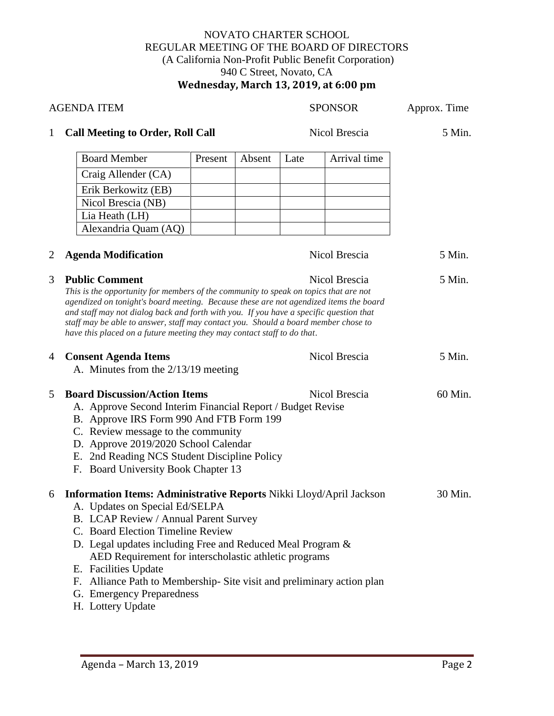# NOVATO CHARTER SCHOOL REGULAR MEETING OF THE BOARD OF DIRECTORS (A California Non-Profit Public Benefit Corporation) 940 C Street, Novato, CA **Wednesday, March 13, 2019, at 6:00 pm**

| <b>AGENDA ITEM</b> |                                                                                                                                                                                                                                                                                                                                                                                                                                                                   |         |        | <b>SPONSOR</b> |               | Approx. Time |
|--------------------|-------------------------------------------------------------------------------------------------------------------------------------------------------------------------------------------------------------------------------------------------------------------------------------------------------------------------------------------------------------------------------------------------------------------------------------------------------------------|---------|--------|----------------|---------------|--------------|
| $\mathbf{1}$       | <b>Call Meeting to Order, Roll Call</b>                                                                                                                                                                                                                                                                                                                                                                                                                           |         |        |                | Nicol Brescia | 5 Min.       |
|                    | <b>Board Member</b>                                                                                                                                                                                                                                                                                                                                                                                                                                               | Present | Absent | Late           | Arrival time  |              |
|                    | Craig Allender (CA)                                                                                                                                                                                                                                                                                                                                                                                                                                               |         |        |                |               |              |
|                    | Erik Berkowitz (EB)                                                                                                                                                                                                                                                                                                                                                                                                                                               |         |        |                |               |              |
|                    | Nicol Brescia (NB)                                                                                                                                                                                                                                                                                                                                                                                                                                                |         |        |                |               |              |
|                    | Lia Heath (LH)                                                                                                                                                                                                                                                                                                                                                                                                                                                    |         |        |                |               |              |
|                    | Alexandria Quam (AQ)                                                                                                                                                                                                                                                                                                                                                                                                                                              |         |        |                |               |              |
| 2                  | <b>Agenda Modification</b>                                                                                                                                                                                                                                                                                                                                                                                                                                        |         |        |                | Nicol Brescia | 5 Min.       |
| 3                  | <b>Public Comment</b><br>This is the opportunity for members of the community to speak on topics that are not<br>agendized on tonight's board meeting. Because these are not agendized items the board<br>and staff may not dialog back and forth with you. If you have a specific question that<br>staff may be able to answer, staff may contact you. Should a board member chose to<br>have this placed on a future meeting they may contact staff to do that. |         |        |                | Nicol Brescia | 5 Min.       |
| $\overline{4}$     | <b>Consent Agenda Items</b><br>A. Minutes from the $2/13/19$ meeting                                                                                                                                                                                                                                                                                                                                                                                              |         |        |                | Nicol Brescia | 5 Min.       |
| 5                  | <b>Board Discussion/Action Items</b><br>A. Approve Second Interim Financial Report / Budget Revise<br>B. Approve IRS Form 990 And FTB Form 199<br>C. Review message to the community<br>D. Approve 2019/2020 School Calendar<br>E. 2nd Reading NCS Student Discipline Policy<br>F. Board University Book Chapter 13                                                                                                                                               |         |        |                | Nicol Brescia | 60 Min.      |
| 6                  | Information Items: Administrative Reports Nikki Lloyd/April Jackson<br>A. Updates on Special Ed/SELPA<br>B. LCAP Review / Annual Parent Survey<br>C. Board Election Timeline Review<br>D. Legal updates including Free and Reduced Meal Program &<br>AED Requirement for interscholastic athletic programs<br>E. Facilities Update<br>F. Alliance Path to Membership-Site visit and preliminary action plan<br>G. Emergency Preparedness<br>H. Lottery Update     |         |        |                |               | 30 Min.      |